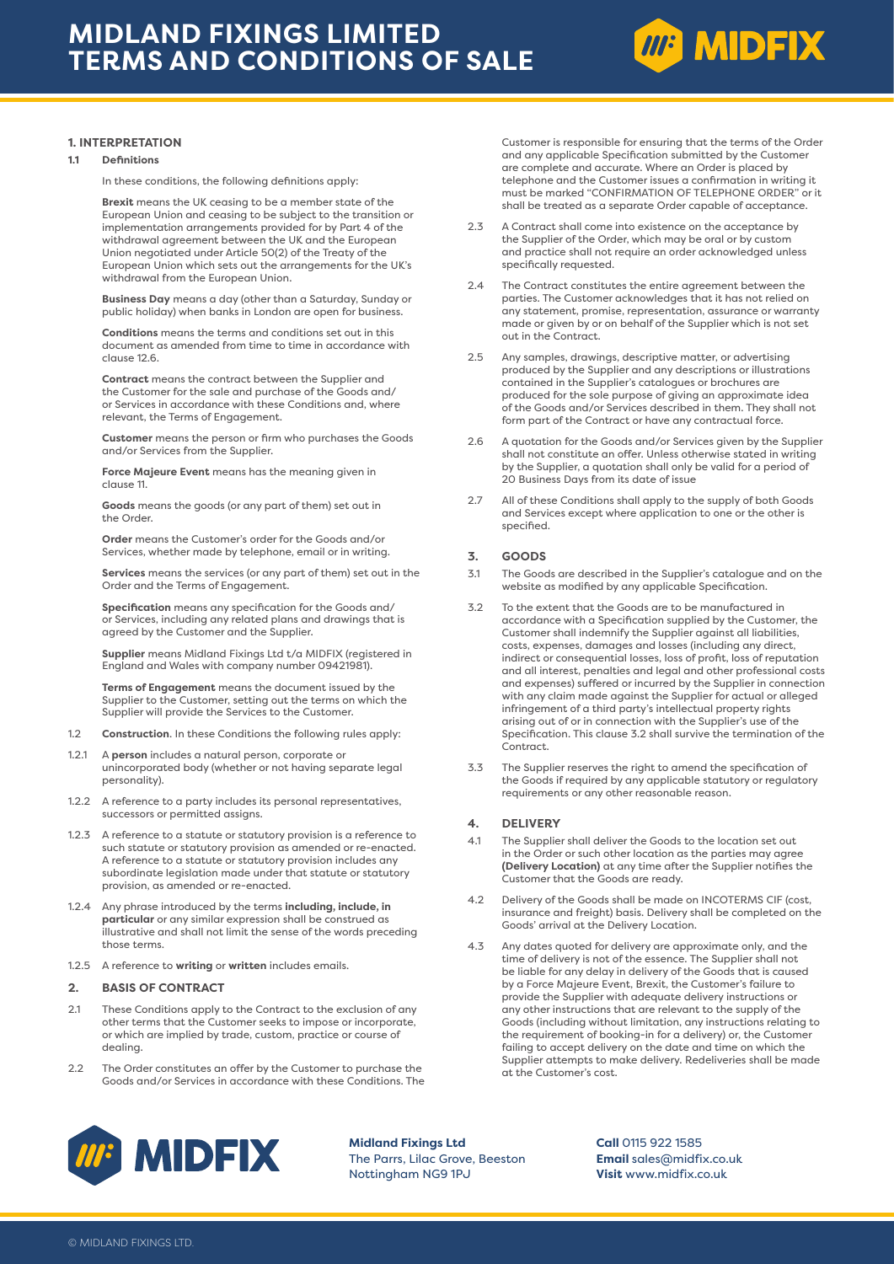

## **1. INTERPRETATION**

#### **1.1 Definitions**

In these conditions, the following definitions apply:

 **Brexit** means the UK ceasing to be a member state of the European Union and ceasing to be subject to the transition or implementation arrangements provided for by Part 4 of the withdrawal agreement between the UK and the European Union negotiated under Article 50(2) of the Treaty of the European Union which sets out the arrangements for the UK's withdrawal from the European Union.

 **Business Day** means a day (other than a Saturday, Sunday or public holiday) when banks in London are open for business.

**Conditions** means the terms and conditions set out in this document as amended from time to time in accordance with clause 12.6.

 **Contract** means the contract between the Supplier and the Customer for the sale and purchase of the Goods and/ or Services in accordance with these Conditions and, where relevant, the Terms of Engagement.

**Customer** means the person or firm who purchases the Goods and/or Services from the Supplier.

 **Force Majeure Event** means has the meaning given in clause 11.

**Goods** means the goods (or any part of them) set out in the Order.

 **Order** means the Customer's order for the Goods and/or Services, whether made by telephone, email or in writing.

**Services** means the services (or any part of them) set out in the Order and the Terms of Engagement.

 **Specification** means any specification for the Goods and/ or Services, including any related plans and drawings that is agreed by the Customer and the Supplier.

 **Supplier** means Midland Fixings Ltd t/a MIDFIX (registered in England and Wales with company number 09421981).

 **Terms of Engagement** means the document issued by the Supplier to the Customer, setting out the terms on which the Supplier will provide the Services to the Customer.

- 1.2 **Construction**. In these Conditions the following rules apply:
- 1.2.1 A **person** includes a natural person, corporate or unincorporated body (whether or not having separate legal personality).
- 1.2.2 A reference to a party includes its personal representatives, successors or permitted assigns.
- 1.2.3 A reference to a statute or statutory provision is a reference to such statute or statutory provision as amended or re-enacted. A reference to a statute or statutory provision includes any subordinate legislation made under that statute or statutory provision, as amended or re-enacted.
- 1.2.4 Any phrase introduced by the terms **including, include, in particular** or any similar expression shall be construed as illustrative and shall not limit the sense of the words preceding those terms.
- 1.2.5 A reference to **writing** or **written** includes emails.

### **2. BASIS OF CONTRACT**

- 2.1 These Conditions apply to the Contract to the exclusion of any other terms that the Customer seeks to impose or incorporate, or which are implied by trade, custom, practice or course of dealing.
- 2.2 The Order constitutes an offer by the Customer to purchase the Goods and/or Services in accordance with these Conditions. The

Customer is responsible for ensuring that the terms of the Order and any applicable Specification submitted by the Customer are complete and accurate. Where an Order is placed by telephone and the Customer issues a confirmation in writing it must be marked "CONFIRMATION OF TELEPHONE ORDER" or it shall be treated as a separate Order capable of acceptance.

- 2.3 A Contract shall come into existence on the acceptance by the Supplier of the Order, which may be oral or by custom and practice shall not require an order acknowledged unless specifically requested.
- 2.4 The Contract constitutes the entire agreement between the parties. The Customer acknowledges that it has not relied on any statement, promise, representation, assurance or warranty made or given by or on behalf of the Supplier which is not set out in the Contract.
- 2.5 Any samples, drawings, descriptive matter, or advertising produced by the Supplier and any descriptions or illustrations contained in the Supplier's catalogues or brochures are produced for the sole purpose of giving an approximate idea of the Goods and/or Services described in them. They shall not form part of the Contract or have any contractual force
- 2.6 A quotation for the Goods and/or Services given by the Supplier shall not constitute an offer. Unless otherwise stated in writing by the Supplier, a quotation shall only be valid for a period of 20 Business Days from its date of issue
- 2.7 All of these Conditions shall apply to the supply of both Goods and Services except where application to one or the other is specified.

## **3. GOODS**

- 3.1 The Goods are described in the Supplier's catalogue and on the website as modified by any applicable Specification.
- 3.2 To the extent that the Goods are to be manufactured in accordance with a Specification supplied by the Customer, the Customer shall indemnify the Supplier against all liabilities, costs, expenses, damages and losses (including any direct, indirect or consequential losses, loss of profit, loss of reputation and all interest, penalties and legal and other professional costs and expenses) suffered or incurred by the Supplier in connection with any claim made against the Supplier for actual or alleged infringement of a third party's intellectual property rights arising out of or in connection with the Supplier's use of the Specification. This clause 3.2 shall survive the termination of the Contract.
- 3.3 The Supplier reserves the right to amend the specification of the Goods if required by any applicable statutory or regulatory requirements or any other reasonable reason.

## **4. DELIVERY**

- 4.1 The Supplier shall deliver the Goods to the location set out in the Order or such other location as the parties may agree **(Delivery Location)** at any time after the Supplier notifies the Customer that the Goods are ready.
- 4.2 Delivery of the Goods shall be made on INCOTERMS CIF (cost, insurance and freight) basis. Delivery shall be completed on the Goods' arrival at the Delivery Location.
- 4.3 Any dates quoted for delivery are approximate only, and the time of delivery is not of the essence. The Supplier shall not be liable for any delay in delivery of the Goods that is caused by a Force Majeure Event, Brexit, the Customer's failure to provide the Supplier with adequate delivery instructions or any other instructions that are relevant to the supply of the Goods (including without limitation, any instructions relating to the requirement of booking-in for a delivery) or, the Customer failing to accept delivery on the date and time on which the Supplier attempts to make delivery. Redeliveries shall be made at the Customer's cost.



**Midland Fixings Ltd** The Parrs, Lilac Grove, Beeston Nottingham NG9 1PJ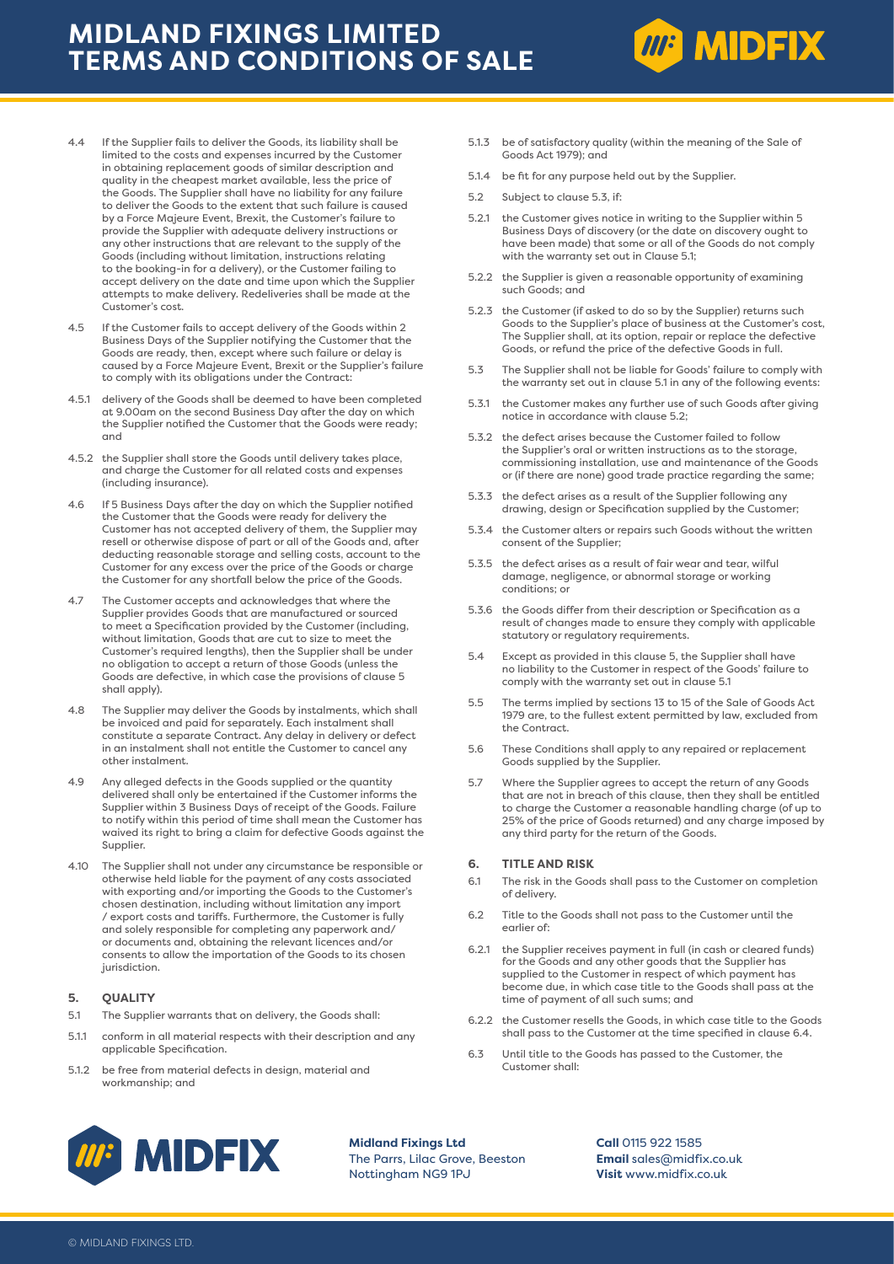# **MIDLAND FIXINGS LIMITED TERMS AND CONDITIONS OF SALE**



- 4.5 If the Customer fails to accept delivery of the Goods within 2 Business Days of the Supplier notifying the Customer that the Goods are ready, then, except where such failure or delay is caused by a Force Majeure Event, Brexit or the Supplier's failure to comply with its obligations under the Contract:
- 4.5.1 delivery of the Goods shall be deemed to have been completed at 9.00am on the second Business Day after the day on which the Supplier notified the Customer that the Goods were ready; and
- 4.5.2 the Supplier shall store the Goods until delivery takes place, and charge the Customer for all related costs and expenses (including insurance).
- 4.6 If 5 Business Days after the day on which the Supplier notified the Customer that the Goods were ready for delivery the Customer has not accepted delivery of them, the Supplier may resell or otherwise dispose of part or all of the Goods and, after deducting reasonable storage and selling costs, account to the Customer for any excess over the price of the Goods or charge the Customer for any shortfall below the price of the Goods.
- 4.7 The Customer accepts and acknowledges that where the Supplier provides Goods that are manufactured or sourced to meet a Specification provided by the Customer (including, without limitation, Goods that are cut to size to meet the Customer's required lengths), then the Supplier shall be under no obligation to accept a return of those Goods (unless the Goods are defective, in which case the provisions of clause 5 shall apply).
- 4.8 The Supplier may deliver the Goods by instalments, which shall be invoiced and paid for separately. Each instalment shall constitute a separate Contract. Any delay in delivery or defect in an instalment shall not entitle the Customer to cancel any other instalment.
- 4.9 Any alleged defects in the Goods supplied or the quantity delivered shall only be entertained if the Customer informs the Supplier within 3 Business Days of receipt of the Goods. Failure to notify within this period of time shall mean the Customer has waived its right to bring a claim for defective Goods against the Supplier.
- 4.10 The Supplier shall not under any circumstance be responsible or otherwise held liable for the payment of any costs associated with exporting and/or importing the Goods to the Customer's chosen destination, including without limitation any import / export costs and tariffs. Furthermore, the Customer is fully and solely responsible for completing any paperwork and/ or documents and, obtaining the relevant licences and/or consents to allow the importation of the Goods to its chosen jurisdiction.

## **5. QUALITY**

- 5.1 The Supplier warrants that on delivery, the Goods shall:
- 5.1.1 conform in all material respects with their description and any applicable Specification.
- 5.1.2 be free from material defects in design, material and workmanship; and

5.1.3 be of satisfactory quality (within the meaning of the Sale of Goods Act 1979); and

**MP MIDFIX** 

- 5.1.4 be fit for any purpose held out by the Supplier.
- 5.2 Subject to clause 5.3, if:
- 5.2.1 the Customer gives notice in writing to the Supplier within 5 Business Days of discovery (or the date on discovery ought to have been made) that some or all of the Goods do not comply with the warranty set out in Clause 5.1;
- 5.2.2 the Supplier is given a reasonable opportunity of examining such Goods; and
- 5.2.3 the Customer (if asked to do so by the Supplier) returns such Goods to the Supplier's place of business at the Customer's cost, The Supplier shall, at its option, repair or replace the defective Goods, or refund the price of the defective Goods in full.
- 5.3 The Supplier shall not be liable for Goods' failure to comply with the warranty set out in clause 5.1 in any of the following events:
- 5.3.1 the Customer makes any further use of such Goods after giving notice in accordance with clause 5.2;
- 5.3.2 the defect arises because the Customer failed to follow the Supplier's oral or written instructions as to the storage, commissioning installation, use and maintenance of the Goods or (if there are none) good trade practice regarding the same;
- 5.3.3 the defect arises as a result of the Supplier following any drawing, design or Specification supplied by the Customer;
- 5.3.4 the Customer alters or repairs such Goods without the written consent of the Supplier;
- 5.3.5 the defect arises as a result of fair wear and tear, wilful damage, negligence, or abnormal storage or working conditions; or
- 5.3.6 the Goods differ from their description or Specification as a result of changes made to ensure they comply with applicable statutory or regulatory requirements.
- 5.4 Except as provided in this clause 5, the Supplier shall have no liability to the Customer in respect of the Goods' failure to comply with the warranty set out in clause 5.1
- 5.5 The terms implied by sections 13 to 15 of the Sale of Goods Act 1979 are, to the fullest extent permitted by law, excluded from the Contract.
- 5.6 These Conditions shall apply to any repaired or replacement Goods supplied by the Supplier.
- 5.7 Where the Supplier agrees to accept the return of any Goods that are not in breach of this clause, then they shall be entitled to charge the Customer a reasonable handling charge (of up to 25% of the price of Goods returned) and any charge imposed by any third party for the return of the Goods.

## **6. TITLE AND RISK**

- 6.1 The risk in the Goods shall pass to the Customer on completion of delivery.
- 6.2 Title to the Goods shall not pass to the Customer until the earlier of:
- 6.2.1 the Supplier receives payment in full (in cash or cleared funds) for the Goods and any other goods that the Supplier has supplied to the Customer in respect of which payment has become due, in which case title to the Goods shall pass at the time of payment of all such sums; and
- 6.2.2 the Customer resells the Goods, in which case title to the Goods shall pass to the Customer at the time specified in clause 6.4.
- 6.3 Until title to the Goods has passed to the Customer, the Customer shall:



**Midland Fixings Ltd** The Parrs, Lilac Grove, Beeston Nottingham NG9 1PJ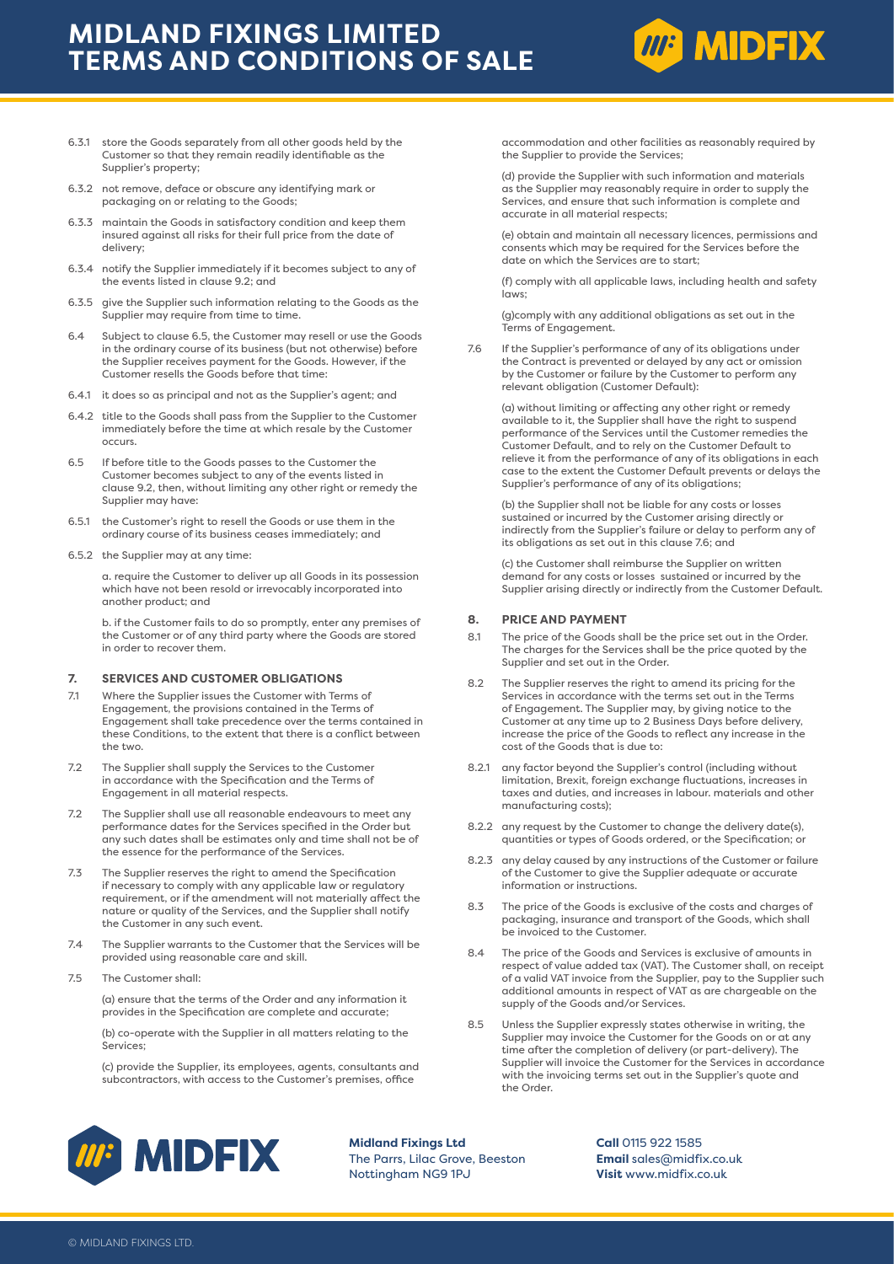# **MIDLAND FIXINGS LIMITED TERMS AND CONDITIONS OF SALE**



- 6.3.1 store the Goods separately from all other goods held by the Customer so that they remain readily identifiable as the Supplier's property;
- 6.3.2 not remove, deface or obscure any identifying mark or packaging on or relating to the Goods;
- 6.3.3 maintain the Goods in satisfactory condition and keep them insured against all risks for their full price from the date of delivery;
- 6.3.4 notify the Supplier immediately if it becomes subject to any of the events listed in clause 9.2; and
- 6.3.5 give the Supplier such information relating to the Goods as the Supplier may require from time to time.
- 6.4 Subject to clause 6.5, the Customer may resell or use the Goods in the ordinary course of its business (but not otherwise) before the Supplier receives payment for the Goods. However, if the Customer resells the Goods before that time:
- 6.4.1 it does so as principal and not as the Supplier's agent; and
- 6.4.2 title to the Goods shall pass from the Supplier to the Customer immediately before the time at which resale by the Customer occurs.
- 6.5 If before title to the Goods passes to the Customer the Customer becomes subject to any of the events listed in clause 9.2, then, without limiting any other right or remedy the Supplier may have:
- 6.5.1 the Customer's right to resell the Goods or use them in the ordinary course of its business ceases immediately; and
- 6.5.2 the Supplier may at any time:

a. require the Customer to deliver up all Goods in its possession which have not been resold or irrevocably incorporated into another product; and

b. if the Customer fails to do so promptly, enter any premises of the Customer or of any third party where the Goods are stored in order to recover them.

## **7. SERVICES AND CUSTOMER OBLIGATIONS**

- 7.1 Where the Supplier issues the Customer with Terms of Engagement, the provisions contained in the Terms of Engagement shall take precedence over the terms contained in these Conditions, to the extent that there is a conflict between the two.
- 7.2 The Supplier shall supply the Services to the Customer in accordance with the Specification and the Terms of Engagement in all material respects.
- 7.2 The Supplier shall use all reasonable endeavours to meet any performance dates for the Services specified in the Order but any such dates shall be estimates only and time shall not be of the essence for the performance of the Services.
- 7.3 The Supplier reserves the right to amend the Specification if necessary to comply with any applicable law or regulatory requirement, or if the amendment will not materially affect the nature or quality of the Services, and the Supplier shall notify the Customer in any such event.
- 7.4 The Supplier warrants to the Customer that the Services will be provided using reasonable care and skill.
- 7.5 The Customer shall:

(a) ensure that the terms of the Order and any information it provides in the Specification are complete and accurate;

(b) co-operate with the Supplier in all matters relating to the Services;

(c) provide the Supplier, its employees, agents, consultants and subcontractors, with access to the Customer's premises, office

accommodation and other facilities as reasonably required by the Supplier to provide the Services;

(d) provide the Supplier with such information and materials as the Supplier may reasonably require in order to supply the Services, and ensure that such information is complete and accurate in all material respects;

(e) obtain and maintain all necessary licences, permissions and consents which may be required for the Services before the date on which the Services are to start;

(f) comply with all applicable laws, including health and safety laws;

(g)comply with any additional obligations as set out in the Terms of Engagement.

7.6 If the Supplier's performance of any of its obligations under the Contract is prevented or delayed by any act or omission by the Customer or failure by the Customer to perform any relevant obligation (Customer Default):

(a) without limiting or affecting any other right or remedy available to it, the Supplier shall have the right to suspend performance of the Services until the Customer remedies the Customer Default, and to rely on the Customer Default to relieve it from the performance of any of its obligations in each case to the extent the Customer Default prevents or delays the Supplier's performance of any of its obligations;

(b) the Supplier shall not be liable for any costs or losses sustained or incurred by the Customer arising directly or indirectly from the Supplier's failure or delay to perform any of its obligations as set out in this clause 7.6; and

(c) the Customer shall reimburse the Supplier on written demand for any costs or losses sustained or incurred by the Supplier arising directly or indirectly from the Customer Default.

#### **8. PRICE AND PAYMENT**

- 8.1 The price of the Goods shall be the price set out in the Order. The charges for the Services shall be the price quoted by the Supplier and set out in the Order.
- 8.2 The Supplier reserves the right to amend its pricing for the Services in accordance with the terms set out in the Terms of Engagement. The Supplier may, by giving notice to the Customer at any time up to 2 Business Days before delivery, increase the price of the Goods to reflect any increase in the cost of the Goods that is due to:
- 8.2.1 any factor beyond the Supplier's control (including without limitation, Brexit, foreign exchange fluctuations, increases in taxes and duties, and increases in labour. materials and other manufacturing costs);
- 8.2.2 any request by the Customer to change the delivery date(s), quantities or types of Goods ordered, or the Specification; or
- 8.2.3 any delay caused by any instructions of the Customer or failure of the Customer to give the Supplier adequate or accurate information or instructions.
- 8.3 The price of the Goods is exclusive of the costs and charges of packaging, insurance and transport of the Goods, which shall be invoiced to the Customer.
- 8.4 The price of the Goods and Services is exclusive of amounts in respect of value added tax (VAT). The Customer shall, on receipt of a valid VAT invoice from the Supplier, pay to the Supplier such additional amounts in respect of VAT as are chargeable on the supply of the Goods and/or Services.
- 8.5 Unless the Supplier expressly states otherwise in writing, the Supplier may invoice the Customer for the Goods on or at any time after the completion of delivery (or part-delivery). The Supplier will invoice the Customer for the Services in accordance with the invoicing terms set out in the Supplier's quote and the Order.



**Midland Fixings Ltd** The Parrs, Lilac Grove, Beeston Nottingham NG9 1PJ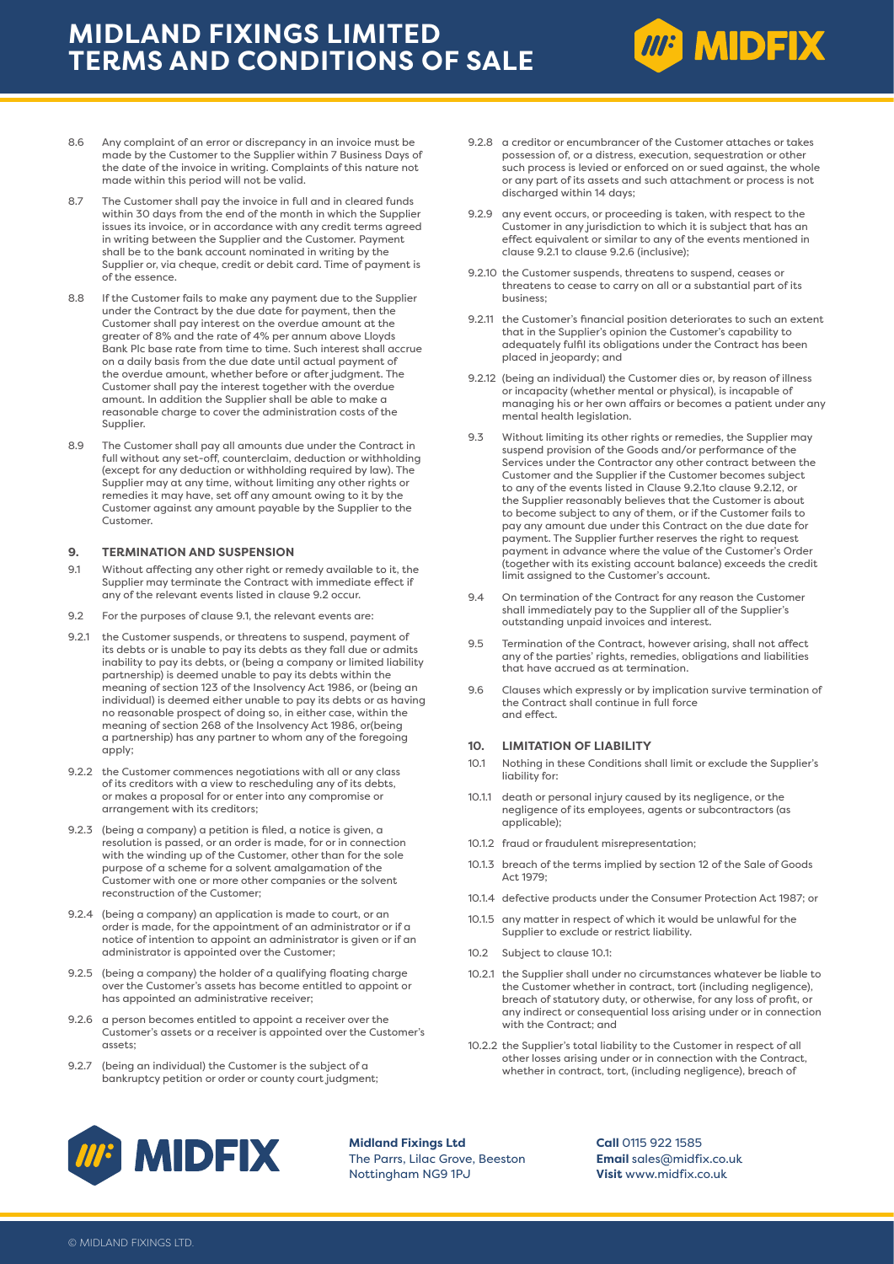# **MIDLAND FIXINGS LIMITED TERMS AND CONDITIONS OF SALE**



- 8.7 The Customer shall pay the invoice in full and in cleared funds within 30 days from the end of the month in which the Supplier issues its invoice, or in accordance with any credit terms agreed in writing between the Supplier and the Customer. Payment shall be to the bank account nominated in writing by the Supplier or, via cheque, credit or debit card. Time of payment is of the essence.
- 8.8 If the Customer fails to make any payment due to the Supplier under the Contract by the due date for payment, then the Customer shall pay interest on the overdue amount at the greater of 8% and the rate of 4% per annum above Lloyds Bank Plc base rate from time to time. Such interest shall accrue on a daily basis from the due date until actual payment of the overdue amount, whether before or after judgment. The Customer shall pay the interest together with the overdue amount. In addition the Supplier shall be able to make a reasonable charge to cover the administration costs of the Supplier.
- 8.9 The Customer shall pay all amounts due under the Contract in full without any set-off, counterclaim, deduction or withholding (except for any deduction or withholding required by law). The Supplier may at any time, without limiting any other rights or remedies it may have, set off any amount owing to it by the Customer against any amount payable by the Supplier to the Customer.

## **9. TERMINATION AND SUSPENSION**

- 9.1 Without affecting any other right or remedy available to it, the Supplier may terminate the Contract with immediate effect if any of the relevant events listed in clause 9.2 occur.
- 9.2 For the purposes of clause 9.1, the relevant events are:
- 9.2.1 the Customer suspends, or threatens to suspend, payment of its debts or is unable to pay its debts as they fall due or admits inability to pay its debts, or (being a company or limited liability partnership) is deemed unable to pay its debts within the meaning of section 123 of the Insolvency Act 1986, or (being an individual) is deemed either unable to pay its debts or as having no reasonable prospect of doing so, in either case, within the meaning of section 268 of the Insolvency Act 1986, or(being a partnership) has any partner to whom any of the foregoing apply;
- 9.2.2 the Customer commences negotiations with all or any class of its creditors with a view to rescheduling any of its debts, or makes a proposal for or enter into any compromise or arrangement with its creditors;
- 9.2.3 (being a company) a petition is filed, a notice is given, a resolution is passed, or an order is made, for or in connection with the winding up of the Customer, other than for the sole purpose of a scheme for a solvent amalgamation of the Customer with one or more other companies or the solvent reconstruction of the Customer;
- 9.2.4 (being a company) an application is made to court, or an order is made, for the appointment of an administrator or if a notice of intention to appoint an administrator is given or if an administrator is appointed over the Customer;
- 9.2.5 (being a company) the holder of a qualifying floating charge over the Customer's assets has become entitled to appoint or has appointed an administrative receiver;
- 9.2.6 a person becomes entitled to appoint a receiver over the Customer's assets or a receiver is appointed over the Customer's assets;
- 9.2.7 (being an individual) the Customer is the subject of a bankruptcy petition or order or county court judgment;

9.2.8 a creditor or encumbrancer of the Customer attaches or takes possession of, or a distress, execution, sequestration or other such process is levied or enforced on or sued against, the whole or any part of its assets and such attachment or process is not discharged within 14 days;

**MP MIDFIX** 

- 9.2.9 any event occurs, or proceeding is taken, with respect to the Customer in any jurisdiction to which it is subject that has an effect equivalent or similar to any of the events mentioned in clause 9.2.1 to clause 9.2.6 (inclusive);
- 9.2.10 the Customer suspends, threatens to suspend, ceases or threatens to cease to carry on all or a substantial part of its business;
- 9.2.11 the Customer's financial position deteriorates to such an extent that in the Supplier's opinion the Customer's capability to adequately fulfil its obligations under the Contract has been placed in jeopardy; and
- 9.2.12 (being an individual) the Customer dies or, by reason of illness or incapacity (whether mental or physical), is incapable of managing his or her own affairs or becomes a patient under any mental health legislation.
- 9.3 Without limiting its other rights or remedies, the Supplier may suspend provision of the Goods and/or performance of the Services under the Contractor any other contract between the Customer and the Supplier if the Customer becomes subject to any of the events listed in Clause 9.2.1to clause 9.2.12, or the Supplier reasonably believes that the Customer is about to become subject to any of them, or if the Customer fails to pay any amount due under this Contract on the due date for payment. The Supplier further reserves the right to request payment in advance where the value of the Customer's Order (together with its existing account balance) exceeds the credit limit assigned to the Customer's account.
- 9.4 On termination of the Contract for any reason the Customer shall immediately pay to the Supplier all of the Supplier's outstanding unpaid invoices and interest.
- 9.5 Termination of the Contract, however arising, shall not affect any of the parties' rights, remedies, obligations and liabilities that have accrued as at termination.
- 9.6 Clauses which expressly or by implication survive termination of the Contract shall continue in full force and effect.

#### **10. LIMITATION OF LIABILITY**

- 10.1 Nothing in these Conditions shall limit or exclude the Supplier's liability for:
- 10.1.1 death or personal injury caused by its negligence, or the negligence of its employees, agents or subcontractors (as applicable);
- 10.1.2 fraud or fraudulent misrepresentation;
- 10.1.3 breach of the terms implied by section 12 of the Sale of Goods Act 1979;
- 10.1.4 defective products under the Consumer Protection Act 1987; or
- 10.1.5 any matter in respect of which it would be unlawful for the Supplier to exclude or restrict liability.
- 10.2 Subject to clause 10.1:
- 10.2.1 the Supplier shall under no circumstances whatever be liable to the Customer whether in contract, tort (including negligence), breach of statutory duty, or otherwise, for any loss of profit, or any indirect or consequential loss arising under or in connection with the Contract: and
- 10.2.2 the Supplier's total liability to the Customer in respect of all other losses arising under or in connection with the Contract, whether in contract, tort, (including negligence), breach of



**Midland Fixings Ltd** The Parrs, Lilac Grove, Beeston Nottingham NG9 1PJ